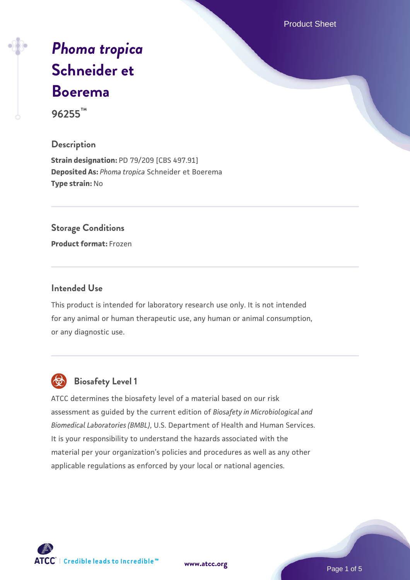Product Sheet

# *[Phoma tropica](https://www.atcc.org/products/96255)* **[Schneider et](https://www.atcc.org/products/96255) [Boerema](https://www.atcc.org/products/96255)**

**96255™**

#### **Description**

**Strain designation:** PD 79/209 [CBS 497.91] **Deposited As:** *Phoma tropica* Schneider et Boerema **Type strain:** No

#### **Storage Conditions**

**Product format:** Frozen

#### **Intended Use**

This product is intended for laboratory research use only. It is not intended for any animal or human therapeutic use, any human or animal consumption, or any diagnostic use.



# **Biosafety Level 1**

ATCC determines the biosafety level of a material based on our risk assessment as guided by the current edition of *Biosafety in Microbiological and Biomedical Laboratories (BMBL)*, U.S. Department of Health and Human Services. It is your responsibility to understand the hazards associated with the material per your organization's policies and procedures as well as any other applicable regulations as enforced by your local or national agencies.

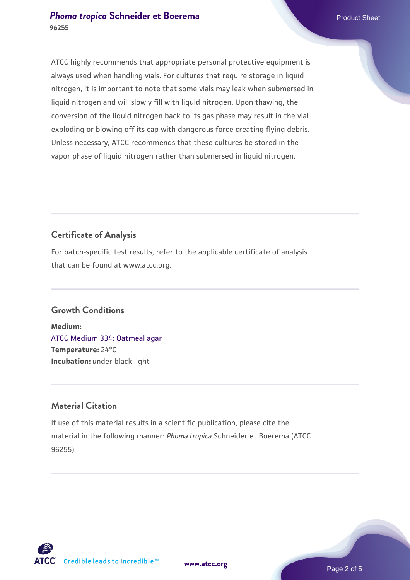#### **[Phoma tropica](https://www.atcc.org/products/96255) [Schneider et Boerema](https://www.atcc.org/products/96255)** Product Sheet **96255**

ATCC highly recommends that appropriate personal protective equipment is always used when handling vials. For cultures that require storage in liquid nitrogen, it is important to note that some vials may leak when submersed in liquid nitrogen and will slowly fill with liquid nitrogen. Upon thawing, the conversion of the liquid nitrogen back to its gas phase may result in the vial exploding or blowing off its cap with dangerous force creating flying debris. Unless necessary, ATCC recommends that these cultures be stored in the vapor phase of liquid nitrogen rather than submersed in liquid nitrogen.

# **Certificate of Analysis**

For batch-specific test results, refer to the applicable certificate of analysis that can be found at www.atcc.org.

# **Growth Conditions**

**Medium:**  [ATCC Medium 334: Oatmeal agar](https://www.atcc.org/-/media/product-assets/documents/microbial-media-formulations/3/3/4/atcc-medium-334.pdf?rev=e382a75a48794764902dd7457c97fc29) **Temperature:** 24°C **Incubation:** under black light

# **Material Citation**

If use of this material results in a scientific publication, please cite the material in the following manner: *Phoma tropica* Schneider et Boerema (ATCC 96255)

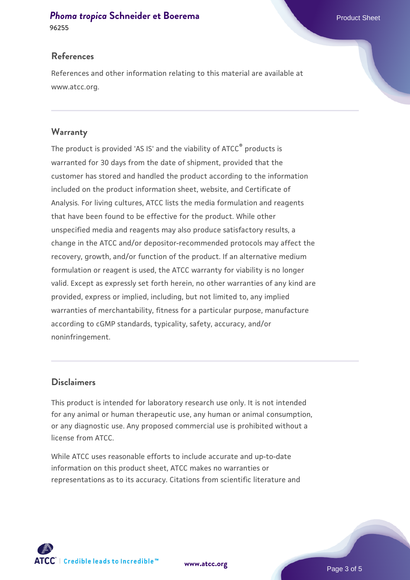#### **[Phoma tropica](https://www.atcc.org/products/96255) [Schneider et Boerema](https://www.atcc.org/products/96255)** Product Sheet

**96255**

References and other information relating to this material are available at www.atcc.org.

#### **Warranty**

The product is provided 'AS IS' and the viability of ATCC® products is warranted for 30 days from the date of shipment, provided that the customer has stored and handled the product according to the information included on the product information sheet, website, and Certificate of Analysis. For living cultures, ATCC lists the media formulation and reagents that have been found to be effective for the product. While other unspecified media and reagents may also produce satisfactory results, a change in the ATCC and/or depositor-recommended protocols may affect the recovery, growth, and/or function of the product. If an alternative medium formulation or reagent is used, the ATCC warranty for viability is no longer valid. Except as expressly set forth herein, no other warranties of any kind are provided, express or implied, including, but not limited to, any implied warranties of merchantability, fitness for a particular purpose, manufacture according to cGMP standards, typicality, safety, accuracy, and/or noninfringement.

#### **Disclaimers**

This product is intended for laboratory research use only. It is not intended for any animal or human therapeutic use, any human or animal consumption, or any diagnostic use. Any proposed commercial use is prohibited without a license from ATCC.

While ATCC uses reasonable efforts to include accurate and up-to-date information on this product sheet, ATCC makes no warranties or representations as to its accuracy. Citations from scientific literature and



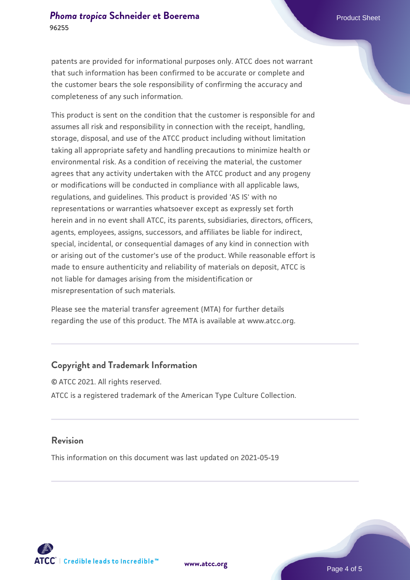patents are provided for informational purposes only. ATCC does not warrant

that such information has been confirmed to be accurate or complete and the customer bears the sole responsibility of confirming the accuracy and completeness of any such information.

This product is sent on the condition that the customer is responsible for and assumes all risk and responsibility in connection with the receipt, handling, storage, disposal, and use of the ATCC product including without limitation taking all appropriate safety and handling precautions to minimize health or environmental risk. As a condition of receiving the material, the customer agrees that any activity undertaken with the ATCC product and any progeny or modifications will be conducted in compliance with all applicable laws, regulations, and guidelines. This product is provided 'AS IS' with no representations or warranties whatsoever except as expressly set forth herein and in no event shall ATCC, its parents, subsidiaries, directors, officers, agents, employees, assigns, successors, and affiliates be liable for indirect, special, incidental, or consequential damages of any kind in connection with or arising out of the customer's use of the product. While reasonable effort is made to ensure authenticity and reliability of materials on deposit, ATCC is not liable for damages arising from the misidentification or misrepresentation of such materials.

Please see the material transfer agreement (MTA) for further details regarding the use of this product. The MTA is available at www.atcc.org.

#### **Copyright and Trademark Information**

© ATCC 2021. All rights reserved. ATCC is a registered trademark of the American Type Culture Collection.

#### **Revision**

This information on this document was last updated on 2021-05-19